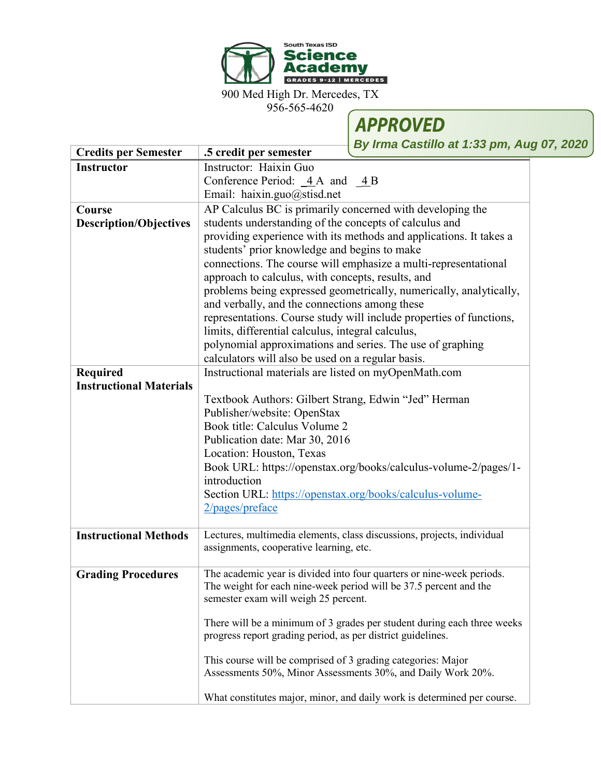

900 Med High Dr. Mercedes, TX

956-565-4620



**By Irma Castillo at 1:33 pm, Aug 07, 2020**

| <b>Credits per Semester</b>    | .5 credit per semester                                                                                                      |
|--------------------------------|-----------------------------------------------------------------------------------------------------------------------------|
| <b>Instructor</b>              | Instructor: Haixin Guo                                                                                                      |
|                                | Conference Period: $\angle 4A$ and $\angle 4B$                                                                              |
|                                | Email: haixin.guo@stisd.net                                                                                                 |
| Course                         | AP Calculus BC is primarily concerned with developing the                                                                   |
| <b>Description/Objectives</b>  | students understanding of the concepts of calculus and                                                                      |
|                                | providing experience with its methods and applications. It takes a                                                          |
|                                | students' prior knowledge and begins to make                                                                                |
|                                | connections. The course will emphasize a multi-representational                                                             |
|                                | approach to calculus, with concepts, results, and                                                                           |
|                                | problems being expressed geometrically, numerically, analytically,                                                          |
|                                | and verbally, and the connections among these                                                                               |
|                                | representations. Course study will include properties of functions,                                                         |
|                                | limits, differential calculus, integral calculus,                                                                           |
|                                | polynomial approximations and series. The use of graphing                                                                   |
|                                | calculators will also be used on a regular basis.                                                                           |
| <b>Required</b>                | Instructional materials are listed on myOpenMath.com                                                                        |
| <b>Instructional Materials</b> |                                                                                                                             |
|                                | Textbook Authors: Gilbert Strang, Edwin "Jed" Herman                                                                        |
|                                | Publisher/website: OpenStax                                                                                                 |
|                                | Book title: Calculus Volume 2                                                                                               |
|                                | Publication date: Mar 30, 2016                                                                                              |
|                                | Location: Houston, Texas                                                                                                    |
|                                | Book URL: https://openstax.org/books/calculus-volume-2/pages/1-                                                             |
|                                | introduction                                                                                                                |
|                                | Section URL: https://openstax.org/books/calculus-volume-                                                                    |
|                                | 2/pages/preface                                                                                                             |
|                                |                                                                                                                             |
| <b>Instructional Methods</b>   | Lectures, multimedia elements, class discussions, projects, individual<br>assignments, cooperative learning, etc.           |
|                                |                                                                                                                             |
| <b>Grading Procedures</b>      | The academic year is divided into four quarters or nine-week periods.                                                       |
|                                | The weight for each nine-week period will be 37.5 percent and the                                                           |
|                                | semester exam will weigh 25 percent.                                                                                        |
|                                |                                                                                                                             |
|                                | There will be a minimum of 3 grades per student during each three weeks                                                     |
|                                | progress report grading period, as per district guidelines.                                                                 |
|                                |                                                                                                                             |
|                                | This course will be comprised of 3 grading categories: Major<br>Assessments 50%, Minor Assessments 30%, and Daily Work 20%. |
|                                |                                                                                                                             |
|                                | What constitutes major, minor, and daily work is determined per course.                                                     |